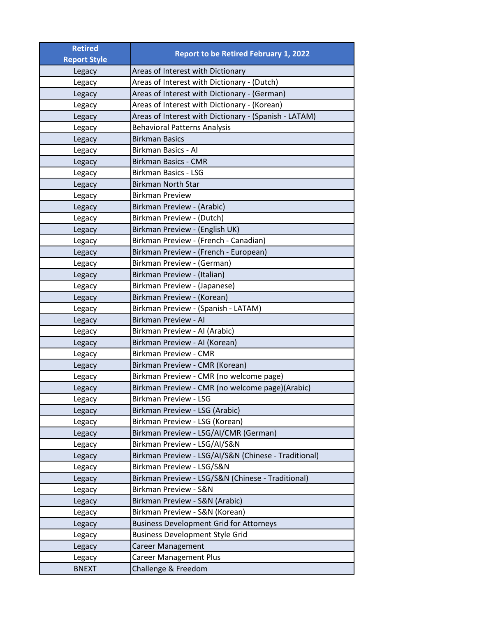| <b>Retired</b>      | <b>Report to be Retired February 1, 2022</b>          |
|---------------------|-------------------------------------------------------|
| <b>Report Style</b> |                                                       |
| Legacy              | Areas of Interest with Dictionary                     |
| Legacy              | Areas of Interest with Dictionary - (Dutch)           |
| Legacy              | Areas of Interest with Dictionary - (German)          |
| Legacy              | Areas of Interest with Dictionary - (Korean)          |
| Legacy              | Areas of Interest with Dictionary - (Spanish - LATAM) |
| Legacy              | <b>Behavioral Patterns Analysis</b>                   |
| Legacy              | <b>Birkman Basics</b>                                 |
| Legacy              | Birkman Basics - Al                                   |
| Legacy              | <b>Birkman Basics - CMR</b>                           |
| Legacy              | <b>Birkman Basics - LSG</b>                           |
| Legacy              | <b>Birkman North Star</b>                             |
| Legacy              | <b>Birkman Preview</b>                                |
| Legacy              | Birkman Preview - (Arabic)                            |
| Legacy              | Birkman Preview - (Dutch)                             |
| Legacy              | Birkman Preview - (English UK)                        |
| Legacy              | Birkman Preview - (French - Canadian)                 |
| Legacy              | Birkman Preview - (French - European)                 |
| Legacy              | Birkman Preview - (German)                            |
| Legacy              | Birkman Preview - (Italian)                           |
| Legacy              | Birkman Preview - (Japanese)                          |
| Legacy              | Birkman Preview - (Korean)                            |
| Legacy              | Birkman Preview - (Spanish - LATAM)                   |
| Legacy              | Birkman Preview - Al                                  |
| Legacy              | Birkman Preview - Al (Arabic)                         |
| Legacy              | Birkman Preview - Al (Korean)                         |
| Legacy              | <b>Birkman Preview - CMR</b>                          |
| Legacy              | Birkman Preview - CMR (Korean)                        |
| Legacy              | Birkman Preview - CMR (no welcome page)               |
| Legacy              | Birkman Preview - CMR (no welcome page)(Arabic)       |
| Legacy              | <b>Birkman Preview - LSG</b>                          |
| Legacy              | Birkman Preview - LSG (Arabic)                        |
| Legacy              | Birkman Preview - LSG (Korean)                        |
| Legacy              | Birkman Preview - LSG/AI/CMR (German)                 |
| Legacy              | Birkman Preview - LSG/AI/S&N                          |
| Legacy              | Birkman Preview - LSG/AI/S&N (Chinese - Traditional)  |
| Legacy              | Birkman Preview - LSG/S&N                             |
| Legacy              | Birkman Preview - LSG/S&N (Chinese - Traditional)     |
| Legacy              | Birkman Preview - S&N                                 |
| Legacy              | Birkman Preview - S&N (Arabic)                        |
| Legacy              | Birkman Preview - S&N (Korean)                        |
| Legacy              | <b>Business Development Grid for Attorneys</b>        |
| Legacy              | <b>Business Development Style Grid</b>                |
| Legacy              | <b>Career Management</b>                              |
| Legacy              | <b>Career Management Plus</b>                         |
| <b>BNEXT</b>        | Challenge & Freedom                                   |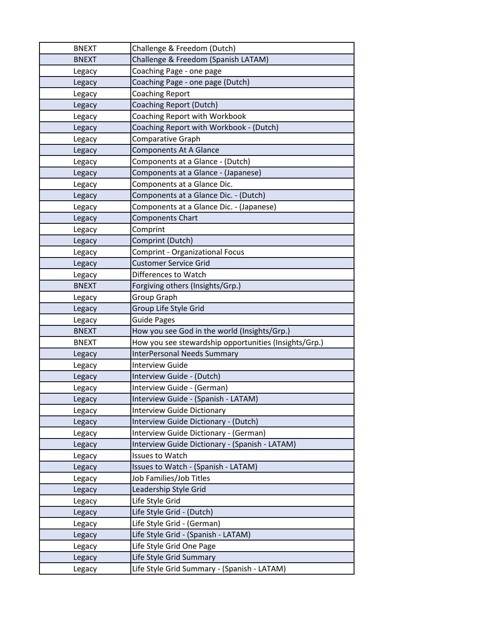| <b>BNEXT</b> | Challenge & Freedom (Dutch)                           |
|--------------|-------------------------------------------------------|
| <b>BNEXT</b> | Challenge & Freedom (Spanish LATAM)                   |
| Legacy       | Coaching Page - one page                              |
| Legacy       | Coaching Page - one page (Dutch)                      |
| Legacy       | <b>Coaching Report</b>                                |
| Legacy       | <b>Coaching Report (Dutch)</b>                        |
| Legacy       | <b>Coaching Report with Workbook</b>                  |
| Legacy       | Coaching Report with Workbook - (Dutch)               |
| Legacy       | Comparative Graph                                     |
| Legacy       | <b>Components At A Glance</b>                         |
| Legacy       | Components at a Glance - (Dutch)                      |
| Legacy       | Components at a Glance - (Japanese)                   |
| Legacy       | Components at a Glance Dic.                           |
| Legacy       | Components at a Glance Dic. - (Dutch)                 |
| Legacy       | Components at a Glance Dic. - (Japanese)              |
| Legacy       | <b>Components Chart</b>                               |
| Legacy       | Comprint                                              |
| Legacy       | Comprint (Dutch)                                      |
| Legacy       | <b>Comprint - Organizational Focus</b>                |
| Legacy       | <b>Customer Service Grid</b>                          |
| Legacy       | Differences to Watch                                  |
| <b>BNEXT</b> | Forgiving others (Insights/Grp.)                      |
| Legacy       | Group Graph                                           |
| Legacy       | Group Life Style Grid                                 |
| Legacy       | <b>Guide Pages</b>                                    |
| <b>BNEXT</b> | How you see God in the world (Insights/Grp.)          |
| <b>BNEXT</b> | How you see stewardship opportunities (Insights/Grp.) |
| Legacy       | <b>InterPersonal Needs Summary</b>                    |
| Legacy       | <b>Interview Guide</b>                                |
| Legacy       | Interview Guide - (Dutch)                             |
| Legacy       | Interview Guide - (German)                            |
| Legacy       | Interview Guide - (Spanish - LATAM)                   |
| Legacy       | <b>Interview Guide Dictionary</b>                     |
| Legacy       | Interview Guide Dictionary - (Dutch)                  |
| Legacy       | Interview Guide Dictionary - (German)                 |
| Legacy       | Interview Guide Dictionary - (Spanish - LATAM)        |
| Legacy       | Issues to Watch                                       |
| Legacy       | Issues to Watch - (Spanish - LATAM)                   |
| Legacy       | Job Families/Job Titles                               |
| Legacy       | Leadership Style Grid                                 |
| Legacy       | Life Style Grid                                       |
| Legacy       | Life Style Grid - (Dutch)                             |
| Legacy       | Life Style Grid - (German)                            |
| Legacy       | Life Style Grid - (Spanish - LATAM)                   |
| Legacy       | Life Style Grid One Page                              |
| Legacy       | Life Style Grid Summary                               |
| Legacy       | Life Style Grid Summary - (Spanish - LATAM)           |